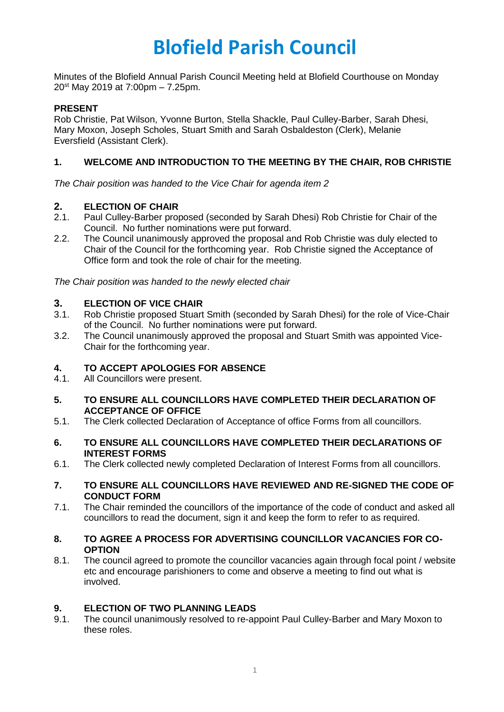# **Blofield Parish Council**

Minutes of the Blofield Annual Parish Council Meeting held at Blofield Courthouse on Monday 20<sup>st</sup> May 2019 at 7:00pm – 7.25pm.

#### **PRESENT**

Rob Christie, Pat Wilson, Yvonne Burton, Stella Shackle, Paul Culley-Barber, Sarah Dhesi, Mary Moxon, Joseph Scholes, Stuart Smith and Sarah Osbaldeston (Clerk), Melanie Eversfield (Assistant Clerk).

#### **1. WELCOME AND INTRODUCTION TO THE MEETING BY THE CHAIR, ROB CHRISTIE**

*The Chair position was handed to the Vice Chair for agenda item 2*

# **2. ELECTION OF CHAIR**

- Paul Culley-Barber proposed (seconded by Sarah Dhesi) Rob Christie for Chair of the Council. No further nominations were put forward.
- 2.2. The Council unanimously approved the proposal and Rob Christie was duly elected to Chair of the Council for the forthcoming year. Rob Christie signed the Acceptance of Office form and took the role of chair for the meeting.

*The Chair position was handed to the newly elected chair*

#### **3. ELECTION OF VICE CHAIR**

- 3.1. Rob Christie proposed Stuart Smith (seconded by Sarah Dhesi) for the role of Vice-Chair of the Council. No further nominations were put forward.
- 3.2. The Council unanimously approved the proposal and Stuart Smith was appointed Vice-Chair for the forthcoming year.

#### **4. TO ACCEPT APOLOGIES FOR ABSENCE**

4.1. All Councillors were present.

#### **5. TO ENSURE ALL COUNCILLORS HAVE COMPLETED THEIR DECLARATION OF ACCEPTANCE OF OFFICE**

5.1. The Clerk collected Declaration of Acceptance of office Forms from all councillors.

#### **6. TO ENSURE ALL COUNCILLORS HAVE COMPLETED THEIR DECLARATIONS OF INTEREST FORMS**

6.1. The Clerk collected newly completed Declaration of Interest Forms from all councillors.

#### **7. TO ENSURE ALL COUNCILLORS HAVE REVIEWED AND RE-SIGNED THE CODE OF CONDUCT FORM**

7.1. The Chair reminded the councillors of the importance of the code of conduct and asked all councillors to read the document, sign it and keep the form to refer to as required.

#### **8. TO AGREE A PROCESS FOR ADVERTISING COUNCILLOR VACANCIES FOR CO-OPTION**

8.1. The council agreed to promote the councillor vacancies again through focal point / website etc and encourage parishioners to come and observe a meeting to find out what is involved.

#### **9. ELECTION OF TWO PLANNING LEADS**

9.1. The council unanimously resolved to re-appoint Paul Culley-Barber and Mary Moxon to these roles.